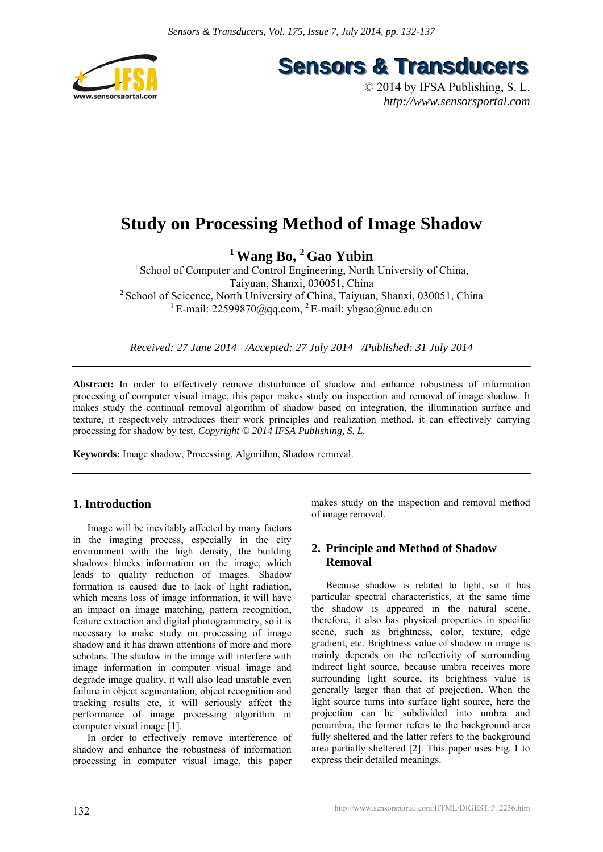

**Sensors & Transducers** 

© 2014 by IFSA Publishing, S. L. *http://www.sensorsportal.com*

# **Study on Processing Method of Image Shadow**

**1 Wang Bo, 2 Gao Yubin** 

<sup>1</sup> School of Computer and Control Engineering, North University of China, Taiyuan, Shanxi, 030051, China <sup>2</sup> School of Scicence, North University of China, Taiyuan, Shanxi, 030051, China <sup>1</sup> E-mail: 22599870@qq.com, <sup>2</sup> E-mail: ybgao@nuc.edu.cn

*Received: 27 June 2014 /Accepted: 27 July 2014 /Published: 31 July 2014* 

**Abstract:** In order to effectively remove disturbance of shadow and enhance robustness of information processing of computer visual image, this paper makes study on inspection and removal of image shadow. It makes study the continual removal algorithm of shadow based on integration, the illumination surface and texture, it respectively introduces their work principles and realization method, it can effectively carrying processing for shadow by test. *Copyright © 2014 IFSA Publishing, S. L.*

**Keywords:** Image shadow, Processing, Algorithm, Shadow removal.

# **1. Introduction**

Image will be inevitably affected by many factors in the imaging process, especially in the city environment with the high density, the building shadows blocks information on the image, which leads to quality reduction of images. Shadow formation is caused due to lack of light radiation, which means loss of image information, it will have an impact on image matching, pattern recognition, feature extraction and digital photogrammetry, so it is necessary to make study on processing of image shadow and it has drawn attentions of more and more scholars. The shadow in the image will interfere with image information in computer visual image and degrade image quality, it will also lead unstable even failure in object segmentation, object recognition and tracking results etc, it will seriously affect the performance of image processing algorithm in computer visual image [1].

In order to effectively remove interference of shadow and enhance the robustness of information processing in computer visual image, this paper makes study on the inspection and removal method of image removal.

# **2. Principle and Method of Shadow Removal**

Because shadow is related to light, so it has particular spectral characteristics, at the same time the shadow is appeared in the natural scene, therefore, it also has physical properties in specific scene, such as brightness, color, texture, edge gradient, etc. Brightness value of shadow in image is mainly depends on the reflectivity of surrounding indirect light source, because umbra receives more surrounding light source, its brightness value is generally larger than that of projection. When the light source turns into surface light source, here the projection can be subdivided into umbra and penumbra, the former refers to the background area fully sheltered and the latter refers to the background area partially sheltered [2]. This paper uses Fig. 1 to express their detailed meanings.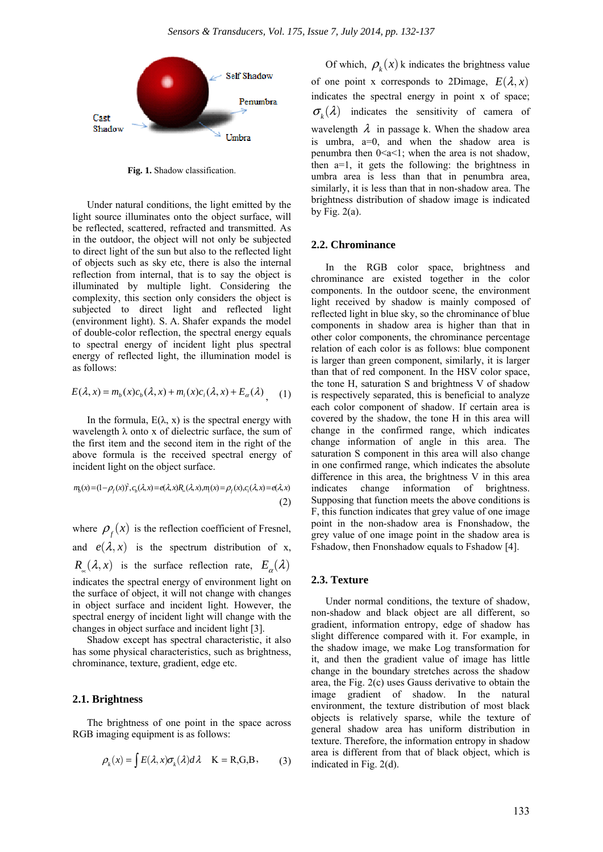

**Fig. 1.** Shadow classification.

Under natural conditions, the light emitted by the light source illuminates onto the object surface, will be reflected, scattered, refracted and transmitted. As in the outdoor, the object will not only be subjected to direct light of the sun but also to the reflected light of objects such as sky etc, there is also the internal reflection from internal, that is to say the object is illuminated by multiple light. Considering the complexity, this section only considers the object is subjected to direct light and reflected light (environment light). S. A. Shafer expands the model of double-color reflection, the spectral energy equals to spectral energy of incident light plus spectral energy of reflected light, the illumination model is as follows:

$$
E(\lambda, x) = m_b(x)c_b(\lambda, x) + m_i(x)c_i(\lambda, x) + E_{\alpha}(\lambda)
$$
 (1)

In the formula,  $E(\lambda, x)$  is the spectral energy with wavelength  $\lambda$  onto x of dielectric surface, the sum of the first item and the second item in the right of the above formula is the received spectral energy of incident light on the object surface.

$$
m_{b}(x) = (1 - \rho_f(x))^2, c_b(\lambda, x) = e(\lambda, x)R_{\alpha}(\lambda, x), m_{b}(x) = \rho_f(x), c_{i}(\lambda, x) = e(\lambda, x)
$$
\n(2)

where  $\rho_f(x)$  is the reflection coefficient of Fresnel, and  $e(\lambda, x)$  is the spectrum distribution of x,  $R_{\alpha}(\lambda,x)$  is the surface reflection rate,  $E_{\alpha}(\lambda)$ indicates the spectral energy of environment light on the surface of object, it will not change with changes in object surface and incident light. However, the spectral energy of incident light will change with the changes in object surface and incident light [3].

Shadow except has spectral characteristic, it also has some physical characteristics, such as brightness, chrominance, texture, gradient, edge etc.

### **2.1. Brightness**

The brightness of one point in the space across RGB imaging equipment is as follows:

$$
\rho_k(x) = \int E(\lambda, x) \sigma_k(\lambda) d\lambda \quad \text{K} = \text{R}, \text{G}, \text{B}, \quad (3)
$$

Of which,  $\rho_k(x)$  k indicates the brightness value of one point x corresponds to 2Dimage,  $E(\lambda, x)$ indicates the spectral energy in point x of space;  $\sigma_{\nu}(\lambda)$  indicates the sensitivity of camera of wavelength  $\lambda$  in passage k. When the shadow area is umbra, a=0, and when the shadow area is penumbra then  $0 \le a \le 1$ ; when the area is not shadow. then a=1, it gets the following: the brightness in umbra area is less than that in penumbra area, similarly, it is less than that in non-shadow area. The brightness distribution of shadow image is indicated by Fig.  $2(a)$ .

## **2.2. Chrominance**

In the RGB color space, brightness and chrominance are existed together in the color components. In the outdoor scene, the environment light received by shadow is mainly composed of reflected light in blue sky, so the chrominance of blue components in shadow area is higher than that in other color components, the chrominance percentage relation of each color is as follows: blue component is larger than green component, similarly, it is larger than that of red component. In the HSV color space, the tone H, saturation S and brightness V of shadow is respectively separated, this is beneficial to analyze each color component of shadow. If certain area is covered by the shadow, the tone H in this area will change in the confirmed range, which indicates change information of angle in this area. The saturation S component in this area will also change in one confirmed range, which indicates the absolute difference in this area, the brightness V in this area indicates change information of brightness. Supposing that function meets the above conditions is F, this function indicates that grey value of one image point in the non-shadow area is Fnonshadow, the grey value of one image point in the shadow area is Fshadow, then Fnonshadow equals to Fshadow [4].

#### **2.3. Texture**

Under normal conditions, the texture of shadow, non-shadow and black object are all different, so gradient, information entropy, edge of shadow has slight difference compared with it. For example, in the shadow image, we make Log transformation for it, and then the gradient value of image has little change in the boundary stretches across the shadow area, the Fig. 2(c) uses Gauss derivative to obtain the image gradient of shadow. In the natural environment, the texture distribution of most black objects is relatively sparse, while the texture of general shadow area has uniform distribution in texture. Therefore, the information entropy in shadow area is different from that of black object, which is indicated in Fig. 2(d).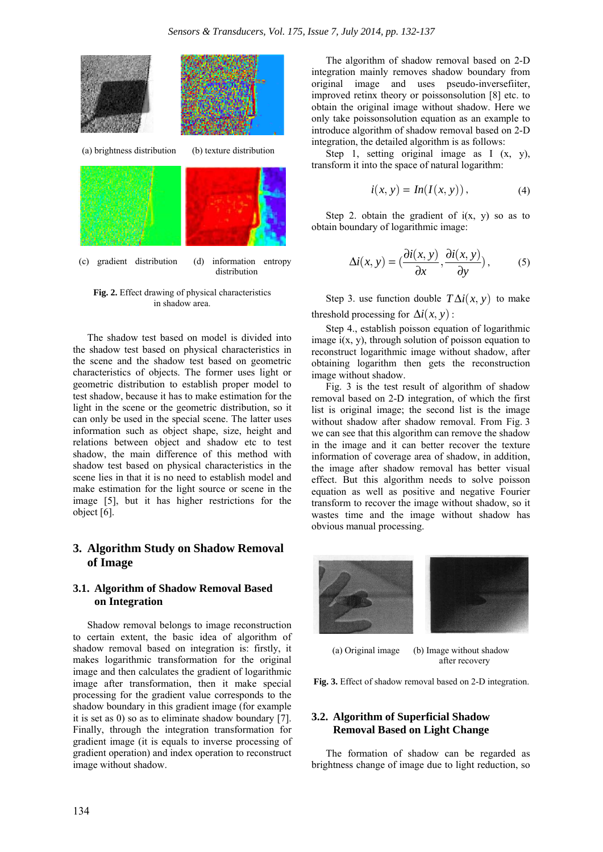

**Fig. 2.** Effect drawing of physical characteristics in shadow area.

The shadow test based on model is divided into the shadow test based on physical characteristics in the scene and the shadow test based on geometric characteristics of objects. The former uses light or geometric distribution to establish proper model to test shadow, because it has to make estimation for the light in the scene or the geometric distribution, so it can only be used in the special scene. The latter uses information such as object shape, size, height and relations between object and shadow etc to test shadow, the main difference of this method with shadow test based on physical characteristics in the scene lies in that it is no need to establish model and make estimation for the light source or scene in the image [5], but it has higher restrictions for the object [6].

## **3. Algorithm Study on Shadow Removal of Image**

## **3.1. Algorithm of Shadow Removal Based on Integration**

Shadow removal belongs to image reconstruction to certain extent, the basic idea of algorithm of shadow removal based on integration is: firstly, it makes logarithmic transformation for the original image and then calculates the gradient of logarithmic image after transformation, then it make special processing for the gradient value corresponds to the shadow boundary in this gradient image (for example it is set as 0) so as to eliminate shadow boundary [7]. Finally, through the integration transformation for gradient image (it is equals to inverse processing of gradient operation) and index operation to reconstruct image without shadow.

The algorithm of shadow removal based on 2-D integration mainly removes shadow boundary from original image and uses pseudo-inversefiiter, improved retinx theory or poissonsolution [8] etc. to obtain the original image without shadow. Here we only take poissonsolution equation as an example to introduce algorithm of shadow removal based on 2-D integration, the detailed algorithm is as follows:

Step 1, setting original image as  $I(x, y)$ , transform it into the space of natural logarithm:

$$
i(x, y) = In(I(x, y)), \tag{4}
$$

Step 2. obtain the gradient of  $i(x, y)$  so as to obtain boundary of logarithmic image:

$$
\Delta i(x, y) = \left(\frac{\partial i(x, y)}{\partial x}, \frac{\partial i(x, y)}{\partial y}\right),\tag{5}
$$

Step 3. use function double  $T\Delta i(x, y)$  to make threshold processing for  $\Delta i(x, y)$ :

Step 4., establish poisson equation of logarithmic image  $i(x, y)$ , through solution of poisson equation to reconstruct logarithmic image without shadow, after obtaining logarithm then gets the reconstruction image without shadow.

Fig. 3 is the test result of algorithm of shadow removal based on 2-D integration, of which the first list is original image; the second list is the image without shadow after shadow removal. From Fig. 3 we can see that this algorithm can remove the shadow in the image and it can better recover the texture information of coverage area of shadow, in addition, the image after shadow removal has better visual effect. But this algorithm needs to solve poisson equation as well as positive and negative Fourier transform to recover the image without shadow, so it wastes time and the image without shadow has obvious manual processing.



(a) Original image (b) Image without shadow after recovery

**Fig. 3.** Effect of shadow removal based on 2-D integration.

## **3.2. Algorithm of Superficial Shadow Removal Based on Light Change**

The formation of shadow can be regarded as brightness change of image due to light reduction, so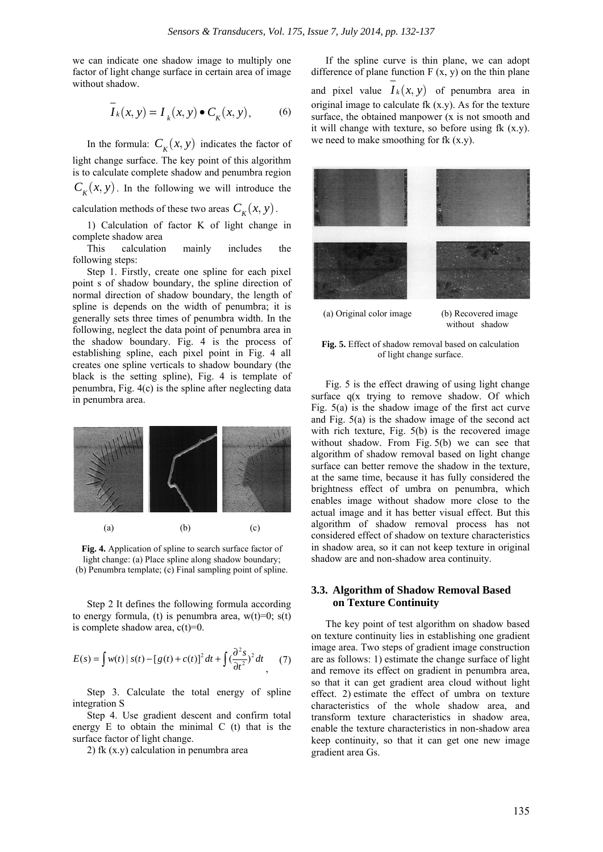we can indicate one shadow image to multiply one factor of light change surface in certain area of image without shadow.

$$
\overline{I}_k(x, y) = I_k(x, y) \bullet C_k(x, y), \qquad (6)
$$

In the formula:  $C_k(x, y)$  indicates the factor of light change surface. The key point of this algorithm is to calculate complete shadow and penumbra region  $C_{\kappa}(x, y)$ . In the following we will introduce the

calculation methods of these two areas  $C_k(x, y)$ .

1) Calculation of factor K of light change in complete shadow area

This calculation mainly includes the following steps:

Step 1. Firstly, create one spline for each pixel point s of shadow boundary, the spline direction of normal direction of shadow boundary, the length of spline is depends on the width of penumbra; it is generally sets three times of penumbra width. In the following, neglect the data point of penumbra area in the shadow boundary. Fig. 4 is the process of establishing spline, each pixel point in Fig. 4 all creates one spline verticals to shadow boundary (the black is the setting spline), Fig. 4 is template of penumbra, Fig. 4(c) is the spline after neglecting data in penumbra area.



**Fig. 4.** Application of spline to search surface factor of light change: (a) Place spline along shadow boundary; (b) Penumbra template; (c) Final sampling point of spline.

Step 2 It defines the following formula according to energy formula, (t) is penumbra area,  $w(t)=0$ ;  $s(t)$ is complete shadow area,  $c(t)=0$ .

$$
E(s) = \int w(t) |s(t) - [g(t) + c(t)]^2 dt + \int (\frac{\partial^2 s}{\partial t^2})^2 dt \qquad (7)
$$

Step 3. Calculate the total energy of spline integration S

Step 4. Use gradient descent and confirm total energy E to obtain the minimal C (t) that is the surface factor of light change.

2) fk (x.y) calculation in penumbra area

If the spline curve is thin plane, we can adopt difference of plane function  $F(x, y)$  on the thin plane and pixel value  $I_k(x, y)$  of penumbra area in original image to calculate fk  $(x,y)$ . As for the texture surface, the obtained manpower (x is not smooth and it will change with texture, so before using  $fk(x,y)$ . we need to make smoothing for fk  $(x,y)$ .



**Fig. 5.** Effect of shadow removal based on calculation of light change surface.

Fig. 5 is the effect drawing of using light change surface q(x trying to remove shadow. Of which Fig. 5(a) is the shadow image of the first act curve and Fig. 5(a) is the shadow image of the second act with rich texture, Fig. 5(b) is the recovered image without shadow. From Fig. 5(b) we can see that algorithm of shadow removal based on light change surface can better remove the shadow in the texture, at the same time, because it has fully considered the brightness effect of umbra on penumbra, which enables image without shadow more close to the actual image and it has better visual effect. But this algorithm of shadow removal process has not considered effect of shadow on texture characteristics in shadow area, so it can not keep texture in original shadow are and non-shadow area continuity.

## **3.3. Algorithm of Shadow Removal Based on Texture Continuity**

The key point of test algorithm on shadow based on texture continuity lies in establishing one gradient image area. Two steps of gradient image construction are as follows: 1) estimate the change surface of light and remove its effect on gradient in penumbra area, so that it can get gradient area cloud without light effect. 2) estimate the effect of umbra on texture characteristics of the whole shadow area, and transform texture characteristics in shadow area, enable the texture characteristics in non-shadow area keep continuity, so that it can get one new image gradient area Gs.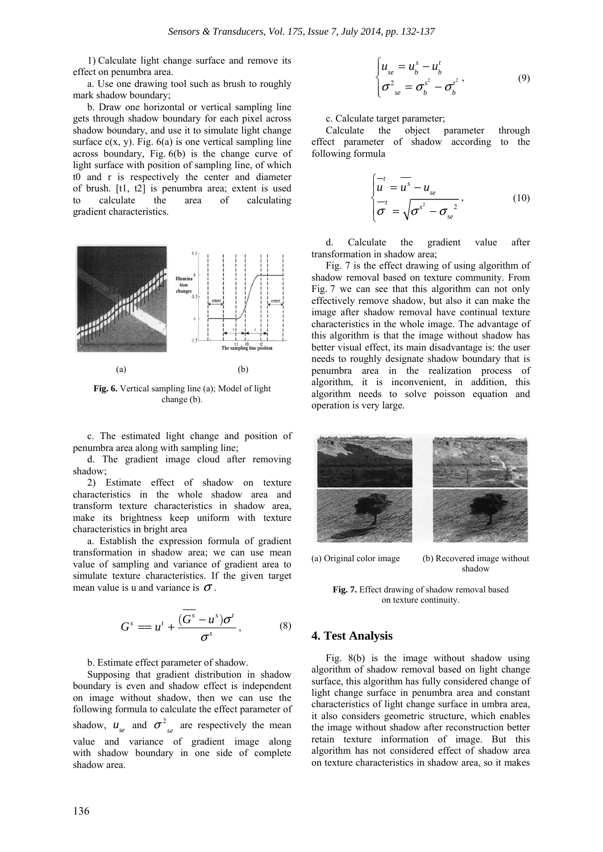1) Calculate light change surface and remove its effect on penumbra area.

a. Use one drawing tool such as brush to roughly mark shadow boundary;

b. Draw one horizontal or vertical sampling line gets through shadow boundary for each pixel across shadow boundary, and use it to simulate light change surface  $c(x, y)$ . Fig.  $6(a)$  is one vertical sampling line across boundary, Fig. 6(b) is the change curve of light surface with position of sampling line, of which t0 and r is respectively the center and diameter of brush. [t1, t2] is penumbra area; extent is used to calculate the area of calculating gradient characteristics.



**Fig. 6.** Vertical sampling line (a); Model of light change (b).

c. The estimated light change and position of penumbra area along with sampling line;

d. The gradient image cloud after removing shadow;

2) Estimate effect of shadow on texture characteristics in the whole shadow area and transform texture characteristics in shadow area, make its brightness keep uniform with texture characteristics in bright area

a. Establish the expression formula of gradient transformation in shadow area; we can use mean value of sampling and variance of gradient area to simulate texture characteristics. If the given target mean value is u and variance is  $\sigma$ .

$$
Gs = ut + \frac{(\overline{Gs - us)\sigmat}{\sigmas},
$$
 (8)

#### b. Estimate effect parameter of shadow.

Supposing that gradient distribution in shadow boundary is even and shadow effect is independent on image without shadow, then we can use the following formula to calculate the effect parameter of shadow,  $u_{se}$  and  $\sigma^2_{se}$  are respectively the mean value and variance of gradient image along with shadow boundary in one side of complete shadow area.

$$
\begin{cases}\n u_{se} = u_b^s - u_b^t \\
 \sigma_{se}^2 = \sigma_b^{s^2} - \sigma_b^{t^2}\n\end{cases}
$$
\n(9)

#### c. Calculate target parameter;

Calculate the object parameter through effect parameter of shadow according to the following formula

$$
\begin{cases}\n\overline{u} = \overline{u^s} - u_{se} \\
\overline{\sigma} = \sqrt{{\sigma^s}^2 - {\sigma_{se}}^2}\n\end{cases}
$$
\n(10)

d. Calculate the gradient value after transformation in shadow area;

Fig. 7 is the effect drawing of using algorithm of shadow removal based on texture community. From Fig. 7 we can see that this algorithm can not only effectively remove shadow, but also it can make the image after shadow removal have continual texture characteristics in the whole image. The advantage of this algorithm is that the image without shadow has better visual effect, its main disadvantage is: the user needs to roughly designate shadow boundary that is penumbra area in the realization process of algorithm, it is inconvenient, in addition, this algorithm needs to solve poisson equation and operation is very large.



(a) Original color image (b) Recovered image without shadow

**Fig. 7.** Effect drawing of shadow removal based on texture continuity.

## **4. Test Analysis**

Fig. 8(b) is the image without shadow using algorithm of shadow removal based on light change surface, this algorithm has fully considered change of light change surface in penumbra area and constant characteristics of light change surface in umbra area, it also considers geometric structure, which enables the image without shadow after reconstruction better retain texture information of image. But this algorithm has not considered effect of shadow area on texture characteristics in shadow area, so it makes